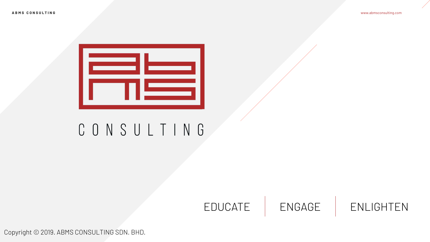

Copyright © 2019. ABMS CONSULTING SDN. BHD.



## EDUCATE | ENGAGE | ENLIGHTEN

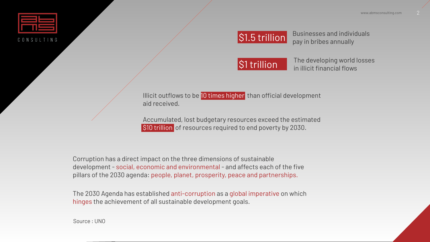

The developing world losses in illicit financial flows

### Illicit outflows to be 10 times higher than official development



Businesses and individuals pay in bribes annually

Accumulated, lost budgetary resources exceed the estimated S10 trillion of resources required to end poverty by 2030.





aid received.

Corruption has a direct impact on the three dimensions of sustainable development - social, economic and environmental - and affects each of the five pillars of the 2030 agenda: people, planet, prosperity, peace and partnerships.

The 2030 Agenda has established anti-corruption as a global imperative on which hinges the achievement of all sustainable development goals.

Source : UNO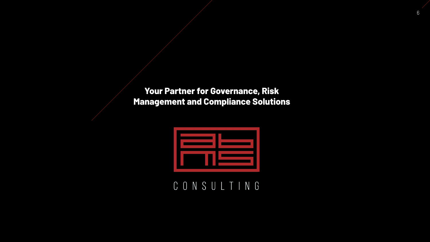

## **Your Partner for Governance, Risk Management and Compliance Solutions**



## CONSULTING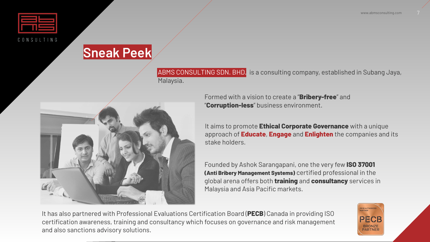



## **Sneak Peek**

ABMS CONSULTING SDN. BHD. is a consulting company, established in Subang Jaya,





Formed with a vision to create a "**Bribery-free**" and "**Corruption-less**" business environment.

Founded by Ashok Sarangapani, one the very few **ISO 37001 (Anti Bribery Management Systems)** certified professional in the global arena offers both **training** and **consultancy** services in Malaysia and Asia Pacific markets.



It aims to promote **Ethical Corporate Governance** with a unique approach of **Educate**, **Engage** and **Enlighten** the companies and its stake holders.

It has also partnered with Professional Evaluations Certification Board (PECB) Canada in providing ISO certification awareness, training and consultancy which focuses on governance and risk management and also sanctions advisory solutions.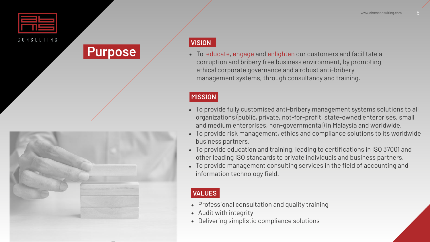

• To provide fully customised anti-bribery management systems solutions to all organizations (public, private, not-for-profit, state-owned enterprises, small and medium enterprises, non-governmental) in Malaysia and worldwide. • To provide risk management, ethics and compliance solutions to its worldwide business partners.

• To provide education and training, leading to certifications in ISO 37001 and other leading ISO standards to private individuals and business partners. • To provide management consulting services in the field of accounting and information technology field.

Purpose **•** To educate, engage and enlighten our customers and facilitate a corruption and bribery free business environment, by promoting ethical corporate governance and a robust anti-bribery management systems, through consultancy and training.

### **MISSION**

### **VISION**

- 
- 

- -
- 
- 
- 
- 
- 
- 
- 



### **VALUES**

• Professional consultation and quality training

• Audit with integrity

• Delivering simplistic compliance solutions

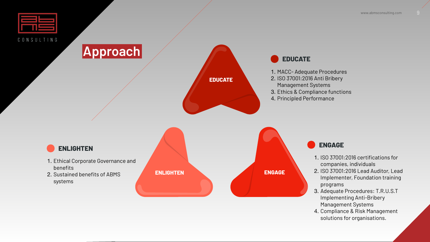









- 1. Ethical Corporate Governance and benefits
- 2. Sustained benefits of ABMS systems





- 1. MACC- Adequate Procedures
- 2. ISO 37001:2016 Anti Bribery
- Management Systems
- 3. Ethics & Compliance functions
- 4. Principled Performance

- 1. ISO 37001:2016 certifications for companies, individuals
- 2. ISO 37001:2016 Lead Auditor, Lead Implementer, Foundation training programs
- 3. Adequate Procedures: T.R.U.S.T Implementing Anti-Bribery Management Systems
- 4. Compliance & Risk Management solutions for organisations.

### **EDUCATE**

**ENGAGE**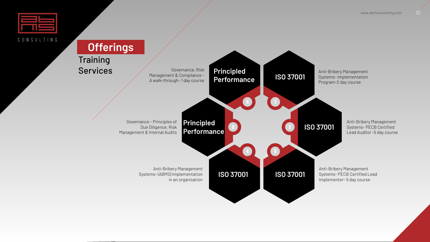

## **Offerings**





**Training** Services

Governance, Risk Management & Compliance - A walk-through- 1 day course

Governance - Principles of Due Diligence, Risk Management & Internal Audits

> Anti-Bribery Management Systems- (ABMS) Implementation in an organisation

# **Principled**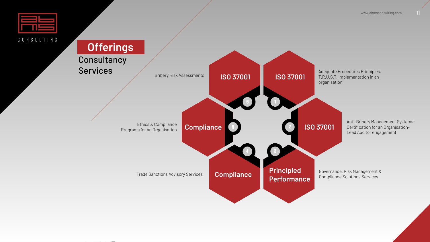

## **Offerings**

**Consultancy** Services





Bribery Risk Assessments

Ethics & Compliance Programs for an Organisation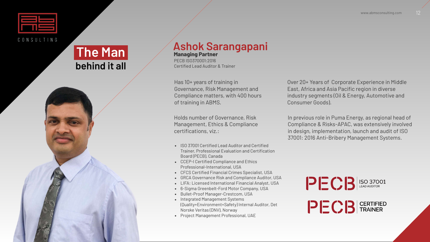

## **The Man behind it all**

# **Ashok Sarangapani**

**Managing Partner**  PECB ISO370001:2016 Certifed Lead Auditor & Trainer

Has 10+ years of training in Governance, Risk Management and Compliance matters, with 400 hours of training in ABMS.

Over 20+ Years of Corporate Experience in Middle East, Africa and Asia Pacific region in diverse industry segments (Oil & Energy, Automotive and Consumer Goods).

In previous role in Puma Energy, as regional head of Compliance & Risks-APAC, was extensively involved in design, implementation, launch and audit of ISO 37001: 2016 Anti-Bribery Management Systems.





Holds number of Governance, Risk Management, Ethics & Compliance certifications, viz.:

- 
- 
- 
- 
- 
- 
- 
- 
- 

• ISO 37001 Certifed Lead Auditor and Certifed Trainer, Professional Evaluation and Certification Board (PECB), Canada • CCEP-I Certifed Compliance and Ethics Professional-International, USA • CFCS Certifed Financial Crimes Specialist, USA • GRCA Governance Risk and Compliance Auditor, USA • LIFA: Licensed International Financial Analyst, USA • 6-Sigma Greenbelt-Ford Motor Company, USA • Bullet-Proof Manager-Crestcom, USA • Integrated Management Systems (Quality+Environment+Safety) Internal Auditor, Det Norske Veritas (DNV), Norway • Project Management Professional, UAE